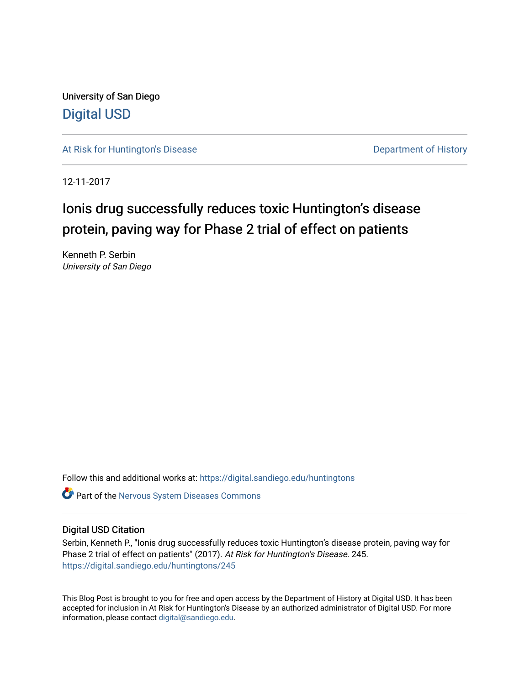University of San Diego [Digital USD](https://digital.sandiego.edu/)

[At Risk for Huntington's Disease](https://digital.sandiego.edu/huntingtons) **Department of History** Department of History

12-11-2017

# Ionis drug successfully reduces toxic Huntington's disease protein, paving way for Phase 2 trial of effect on patients

Kenneth P. Serbin University of San Diego

Follow this and additional works at: [https://digital.sandiego.edu/huntingtons](https://digital.sandiego.edu/huntingtons?utm_source=digital.sandiego.edu%2Fhuntingtons%2F245&utm_medium=PDF&utm_campaign=PDFCoverPages)

**C** Part of the [Nervous System Diseases Commons](http://network.bepress.com/hgg/discipline/928?utm_source=digital.sandiego.edu%2Fhuntingtons%2F245&utm_medium=PDF&utm_campaign=PDFCoverPages)

## Digital USD Citation

Serbin, Kenneth P., "Ionis drug successfully reduces toxic Huntington's disease protein, paving way for Phase 2 trial of effect on patients" (2017). At Risk for Huntington's Disease. 245. [https://digital.sandiego.edu/huntingtons/245](https://digital.sandiego.edu/huntingtons/245?utm_source=digital.sandiego.edu%2Fhuntingtons%2F245&utm_medium=PDF&utm_campaign=PDFCoverPages)

This Blog Post is brought to you for free and open access by the Department of History at Digital USD. It has been accepted for inclusion in At Risk for Huntington's Disease by an authorized administrator of Digital USD. For more information, please contact [digital@sandiego.edu.](mailto:digital@sandiego.edu)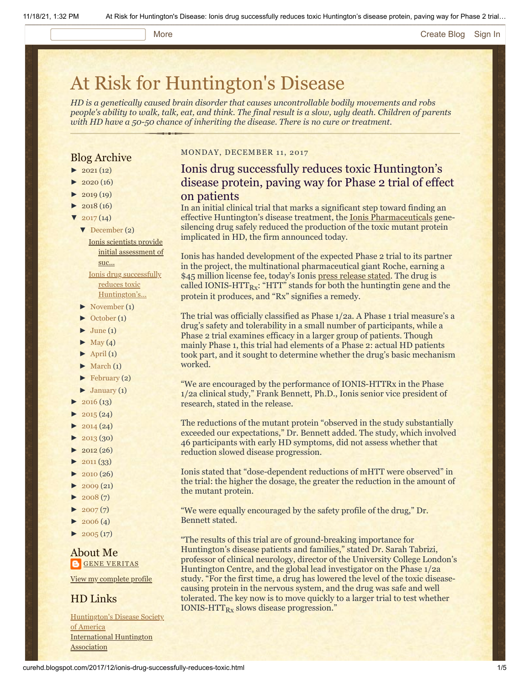### More **[Create Blog](https://www.blogger.com/home#create) [Sign In](https://www.blogger.com/)**

# [At Risk for Huntington's Disease](http://curehd.blogspot.com/)

*HD is a genetically caused brain disorder that causes uncontrollable bodily movements and robs people's ability to walk, talk, eat, and think. The final result is a slow, ugly death. Children of parents with HD have a 50-50 chance of inheriting the disease. There is no cure or treatment.*

## Blog Archive

- $\blacktriangleright$  [2021](http://curehd.blogspot.com/2021/) (12)
- $2020(16)$  $2020(16)$
- $2019(19)$  $2019(19)$
- $\blacktriangleright$  [2018](http://curehd.blogspot.com/2018/) (16)
- $\blacktriangledown$  [2017](http://curehd.blogspot.com/2017/) (14)
	- [▼](javascript:void(0)) [December](http://curehd.blogspot.com/2017/12/) (2) Ionis scientists provide initial [assessment](http://curehd.blogspot.com/2017/12/ionis-scientists-provide-initial.html) of suc...

Ionis drug successfully reduces toxic [Huntington's...](http://curehd.blogspot.com/2017/12/ionis-drug-successfully-reduces-toxic.html)

- [►](javascript:void(0)) [November](http://curehd.blogspot.com/2017/11/) (1)
- [►](javascript:void(0)) [October](http://curehd.blogspot.com/2017/10/) (1)
- $\blacktriangleright$  [June](http://curehd.blogspot.com/2017/06/) (1)
- $\blacktriangleright$  [May](http://curehd.blogspot.com/2017/05/) (4)
- $\blacktriangleright$  [April](http://curehd.blogspot.com/2017/04/) (1)
- $\blacktriangleright$  [March](http://curehd.blogspot.com/2017/03/) (1)
- $\blacktriangleright$  [February](http://curehd.blogspot.com/2017/02/) (2)
- $\blacktriangleright$  [January](http://curehd.blogspot.com/2017/01/) (1)
- $2016(13)$  $2016(13)$
- $2015(24)$  $2015(24)$
- $2014(24)$  $2014(24)$
- $\blacktriangleright$  [2013](http://curehd.blogspot.com/2013/) (30)
- $\blacktriangleright$  [2012](http://curehd.blogspot.com/2012/) (26)
- $\blacktriangleright$  [2011](http://curehd.blogspot.com/2011/) (33)
- $\blacktriangleright$  [2010](http://curehd.blogspot.com/2010/) (26)
- $-2009(21)$  $-2009(21)$  $-2009(21)$
- $\blacktriangleright$  [2008](http://curehd.blogspot.com/2008/) $(7)$
- $\blacktriangleright$  [2007](http://curehd.blogspot.com/2007/)(7)
- $\blacktriangleright$  [2006](http://curehd.blogspot.com/2006/) (4)
- $\blacktriangleright$  [2005](http://curehd.blogspot.com/2005/) (17)

## About Me **GENE [VERITAS](https://www.blogger.com/profile/10911736205741688185)**

View my [complete](https://www.blogger.com/profile/10911736205741688185) profile

# HD Links

[Huntington's](http://www.hdsa.org/) Disease Society of America [International](http://www.huntington-assoc.com/) Huntington **Association** 

#### MONDAY, DECEMBER 11, 2017

# Ionis drug successfully reduces toxic Huntington's disease protein, paving way for Phase 2 trial of effect on patients

In an initial clinical trial that marks a significant step toward finding an effective Huntington's disease treatment, the [Ionis Pharmaceuticals](http://www.ionispharma.com/) genesilencing drug safely reduced the production of the toxic mutant protein implicated in HD, the firm announced today.

Ionis has handed development of the expected Phase 2 trial to its partner in the project, the multinational pharmaceutical giant Roche, earning a \$45 million license fee, today's Ionis [press release stated](http://ir.ionispharma.com/news-releases/news-release-details/ionis-pharmaceuticals-licenses-ionis-htt-rx-partner-following). The drug is called IONIS-HTT $_{\rm Rx}$ : "HTT" stands for both the huntingtin gene and the protein it produces, and "Rx" signifies a remedy.

The trial was officially classified as Phase 1/2a. A Phase 1 trial measure's a drug's safety and tolerability in a small number of participants, while a Phase 2 trial examines efficacy in a larger group of patients. Though mainly Phase 1, this trial had elements of a Phase 2: actual HD patients took part, and it sought to determine whether the drug's basic mechanism worked.

"We are encouraged by the performance of IONIS-HTTRx in the Phase 1/2a clinical study," Frank Bennett, Ph.D., Ionis senior vice president of research, stated in the release.

The reductions of the mutant protein "observed in the study substantially exceeded our expectations," Dr. Bennett added. The study, which involved 46 participants with early HD symptoms, did not assess whether that reduction slowed disease progression.

Ionis stated that "dose-dependent reductions of mHTT were observed" in the trial: the higher the dosage, the greater the reduction in the amount of the mutant protein.

"We were equally encouraged by the safety profile of the drug," Dr. Bennett stated.

"The results of this trial are of ground-breaking importance for Huntington's disease patients and families," stated Dr. Sarah Tabrizi, professor of clinical neurology, director of the University College London's Huntington Centre, and the global lead investigator on the Phase 1/2a study. "For the first time, a drug has lowered the level of the toxic diseasecausing protein in the nervous system, and the drug was safe and well tolerated. The key now is to move quickly to a larger trial to test whether IONIS-HTT<sub>Rx</sub> slows disease progression."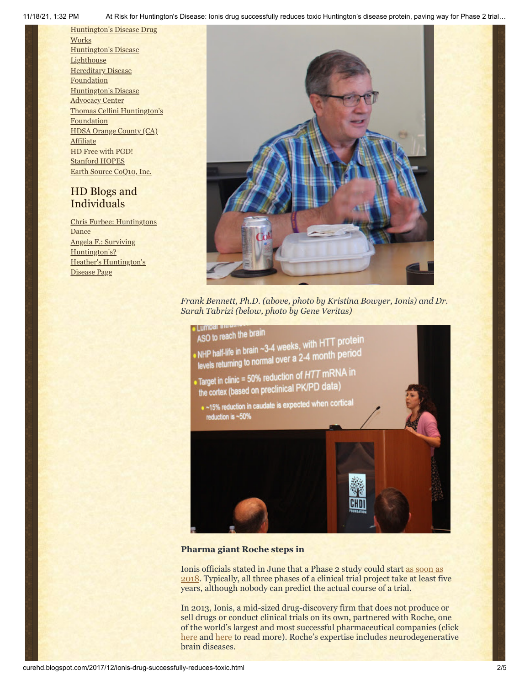11/18/21, 1:32 PM At Risk for Huntington's Disease: Ionis drug successfully reduces toxic Huntington's disease protein, paving way for Phase 2 trial…

[Huntington's](http://hddrugworks.org/) Disease Drug **Works** [Huntington's](http://www.hdlighthouse.org/) Disease **Lighthouse Hereditary Disease [Foundation](http://www.hdfoundation.org/)** [Huntington's](http://www.hdac.org/) Disease Advocacy Center Thomas [Cellini Huntington's](http://www.ourtchfoundation.org/) Foundation HDSA Orange County (CA) [Affiliate](http://www.hdsaoc.org/) HD Free with [PGD!](http://www.hdfreewithpgd.com/) [Stanford](http://www.stanford.edu/group/hopes/) HOPES Earth Source [CoQ10,](http://www.escoq10.com/) Inc.

# HD Blogs and Individuals

Chris Furbee: [Huntingtons](http://www.huntingtonsdance.org/) **Dance** Angela F.: Surviving [Huntington's?](http://survivinghuntingtons.blogspot.com/) Heather's [Huntington's](http://heatherdugdale.angelfire.com/) Disease Page



*Frank Bennett, Ph.D. (above, photo by Kristina Bowyer, Ionis) and Dr. Sarah Tabrizi (below, photo by Gene Veritas)*



## **Pharma giant Roche steps in**

Ionis officials stated in June that a Phase 2 study could start as soon as 2018. [Typically, all three phases of a clinical trial project take at least fiv](http://curehd.blogspot.com/2017/06/ionis-huntingtons-disease-drug-step.html)e years, although nobody can predict the actual course of a trial.

In 2013, Ionis, a mid-sized drug-discovery firm that does not produce or sell drugs or conduct clinical trials on its own, partnered with Roche, one of the world's largest and most successful pharmaceutical companies (click [here](http://curehd.blogspot.com/2013/04/quickening-pace-towards-huntingtons.html) and [here](http://curehd.blogspot.com/2013/04/a-key-new-ally-in-search-for.html) to read more). Roche's expertise includes neurodegenerative brain diseases.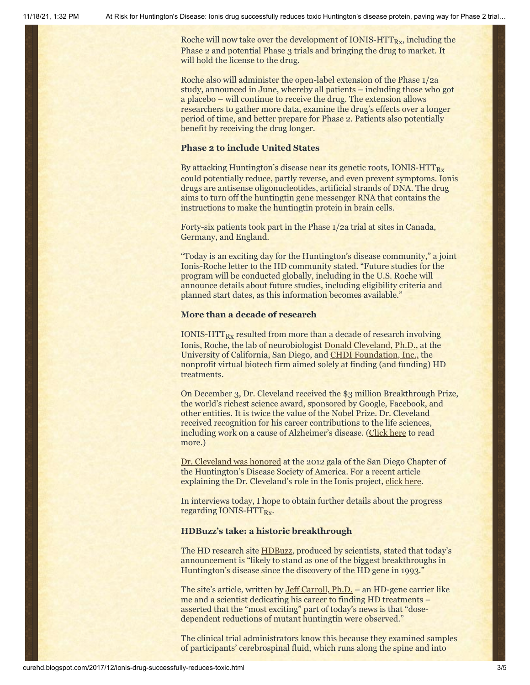Roche will now take over the development of IONIS- $\text{HTT}_{\text{Rx}}$ , including the Phase 2 and potential Phase 3 trials and bringing the drug to market. It will hold the license to the drug.

Roche also will administer the open-label extension of the Phase 1/2a study, announced in June, whereby all patients – including those who got a placebo – will continue to receive the drug. The extension allows researchers to gather more data, examine the drug's effects over a longer period of time, and better prepare for Phase 2. Patients also potentially benefit by receiving the drug longer.

### **Phase 2 to include United States**

By attacking Huntington's disease near its genetic roots, IONIS-HTT $_{Rx}$ could potentially reduce, partly reverse, and even prevent symptoms. Ionis drugs are antisense oligonucleotides, artificial strands of DNA. The drug aims to turn off the huntingtin gene messenger RNA that contains the instructions to make the huntingtin protein in brain cells.

Forty-six patients took part in the Phase 1/2a trial at sites in Canada, Germany, and England.

"Today is an exciting day for the Huntington's disease community," a joint Ionis-Roche letter to the HD community stated. "Future studies for the program will be conducted globally, including in the U.S. Roche will announce details about future studies, including eligibility criteria and planned start dates, as this information becomes available."

#### **More than a decade of research**

IONIS-HTT $_{\rm{Rx}}$  resulted from more than a decade of research involving Ionis, Roche, the lab of neurobiologist [Donald Cleveland, Ph.D.,](http://cmm.ucsd.edu/cleveland/home.html) at the University of California, San Diego, and [CHDI Foundation, Inc.,](http://chdifoundation.org/) the nonprofit virtual biotech firm aimed solely at finding (and funding) HD treatments.

On December 3, Dr. Cleveland received the \$3 million Breakthrough Prize, the world's richest science award, sponsored by Google, Facebook, and other entities. It is twice the value of the Nobel Prize. Dr. Cleveland received recognition for his career contributions to the life sciences, including work on a cause of Alzheimer's disease. [\(Click here](http://www.sandiegouniontribune.com/business/biotech/sd-me-breakthrough-prize-20171203-story.html) to read more.)

[Dr. Cleveland was honored](https://vimeo.com/53732508) at the 2012 gala of the San Diego Chapter of the Huntington's Disease Society of America. For a recent article explaining the Dr. Cleveland's role in the Ionis project, [click here](http://www.sandiegouniontribune.com/news/health/sd-me-dnadrugs-update-20171026-story.html).

In interviews today, I hope to obtain further details about the progress regarding IONIS-HTT<sub>Rx</sub>.

### **HDBuzz's take: a historic breakthrough**

The HD research site **HDBuzz**, produced by scientists, stated that today's announcement is "likely to stand as one of the biggest breakthroughs in Huntington's disease since the discovery of the HD gene in 1993."

The site's article, written by [Jeff Carroll, Ph.D.](https://vimeo.com/120604026) – an HD-gene carrier like me and a scientist dedicating his career to finding HD treatments – asserted that the "most exciting" part of today's news is that "dosedependent reductions of mutant huntingtin were observed."

The clinical trial administrators know this because they examined samples of participants' cerebrospinal fluid, which runs along the spine and into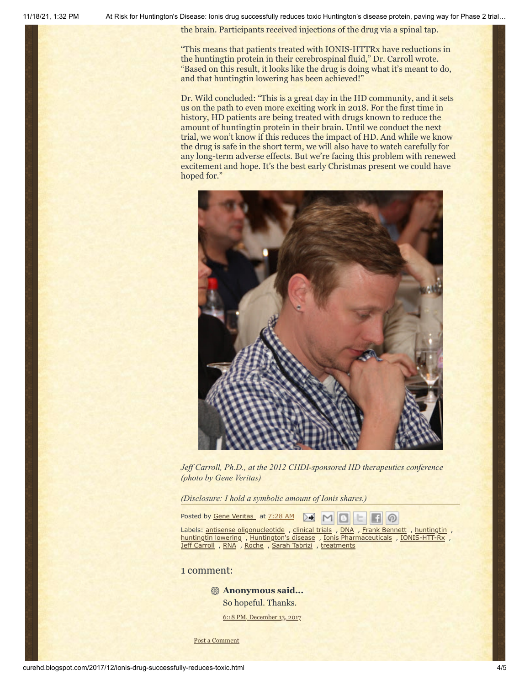11/18/21, 1:32 PM At Risk for Huntington's Disease: Ionis drug successfully reduces toxic Huntington's disease protein, paving way for Phase 2 trial…

the brain. Participants received injections of the drug via a spinal tap.

"This means that patients treated with IONIS-HTTRx have reductions in the huntingtin protein in their cerebrospinal fluid," Dr. Carroll wrote. "Based on this result, it looks like the drug is doing what it's meant to do, and that huntingtin lowering has been achieved!"

Dr. Wild concluded: "This is a great day in the HD community, and it sets us on the path to even more exciting work in 2018. For the first time in history, HD patients are being treated with drugs known to reduce the amount of huntingtin protein in their brain. Until we conduct the next trial, we won't know if this reduces the impact of HD. And while we know the drug is safe in the short term, we will also have to watch carefully for any long-term adverse effects. But we're facing this problem with renewed excitement and hope. It's the best early Christmas present we could have hoped for."



*Jeff Carroll, Ph.D., at the 2012 CHDI-sponsored HD therapeutics conference (photo by Gene Veritas)*

*(Disclosure: I hold a symbolic amount of Ionis shares.)*

Posted by Gene [Veritas](https://www.blogger.com/profile/10911736205741688185) at [7:28](http://curehd.blogspot.com/2017/12/ionis-drug-successfully-reduces-toxic.html) AM м

Labels: antisense [oligonucleotide](http://curehd.blogspot.com/search/label/antisense%20oligonucleotide) , [clinical](http://curehd.blogspot.com/search/label/clinical%20trials) trials , [DNA](http://curehd.blogspot.com/search/label/DNA) , Frank [Bennett](http://curehd.blogspot.com/search/label/Frank%20Bennett) , [huntingtin](http://curehd.blogspot.com/search/label/huntingtin) , [huntingtin](http://curehd.blogspot.com/search/label/huntingtin%20lowering) lowering , [Huntington's](http://curehd.blogspot.com/search/label/Huntington%27s%20disease) disease , Ionis [Pharmaceuticals](http://curehd.blogspot.com/search/label/Ionis%20Pharmaceuticals) , [IONIS-HTT-Rx](http://curehd.blogspot.com/search/label/IONIS-HTT-Rx) , Jeff [Carroll](http://curehd.blogspot.com/search/label/Jeff%20Carroll) , [RNA](http://curehd.blogspot.com/search/label/RNA) , [Roche](http://curehd.blogspot.com/search/label/Roche) , Sarah [Tabrizi](http://curehd.blogspot.com/search/label/Sarah%20Tabrizi) , [treatments](http://curehd.blogspot.com/search/label/treatments)

စ

## 1 comment:

**Anonymous said...**

So hopeful. Thanks.

6:18 PM, [December](http://curehd.blogspot.com/2017/12/ionis-drug-successfully-reduces-toxic.html?showComment=1513217931786#c5669886616148882754) 13, 2017

Post a [Comment](https://www.blogger.com/comment.g?blogID=10081281&postID=4221482492502724966&isPopup=true)